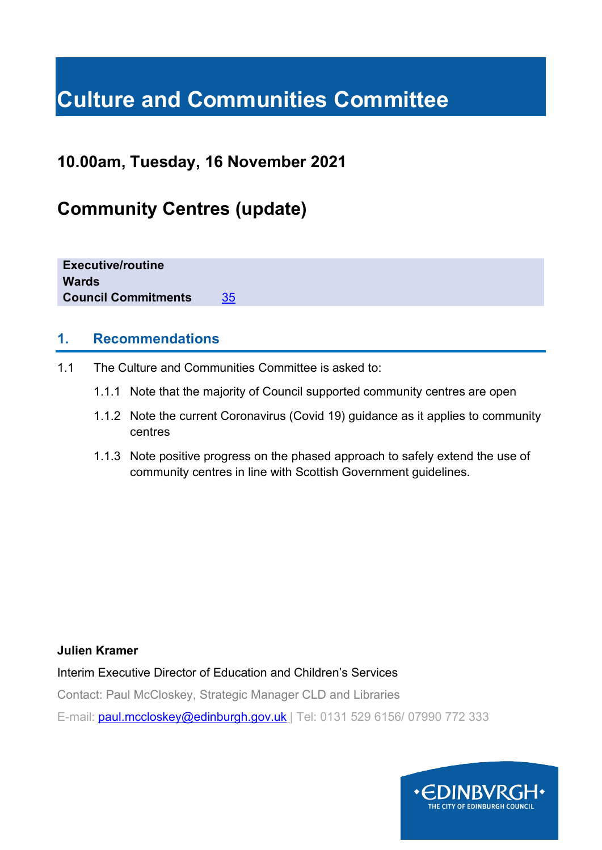# **Culture and Communities Committee**

## **10.00am, Tuesday, 16 November 2021**

# **Community Centres (update)**

**Executive/routine Wards Council Commitments** [35](https://www.edinburgh.gov.uk/council-commitments/delivering-children-families?documentId=12621&categoryId=20141)

#### **1. Recommendations**

- 1.1 The Culture and Communities Committee is asked to:
	- 1.1.1 Note that the majority of Council supported community centres are open
	- 1.1.2 Note the current Coronavirus (Covid 19) guidance as it applies to community centres
	- 1.1.3 Note positive progress on the phased approach to safely extend the use of community centres in line with Scottish Government guidelines.

#### **Julien Kramer**

Interim Executive Director of Education and Children's Services

Contact: Paul McCloskey, Strategic Manager CLD and Libraries

E-mail: [paul.mccloskey@edinburgh.gov.uk](mailto:paul.mccloskey@edinburgh.gov.uk) | Tel: 0131 529 6156/ 07990 772 333

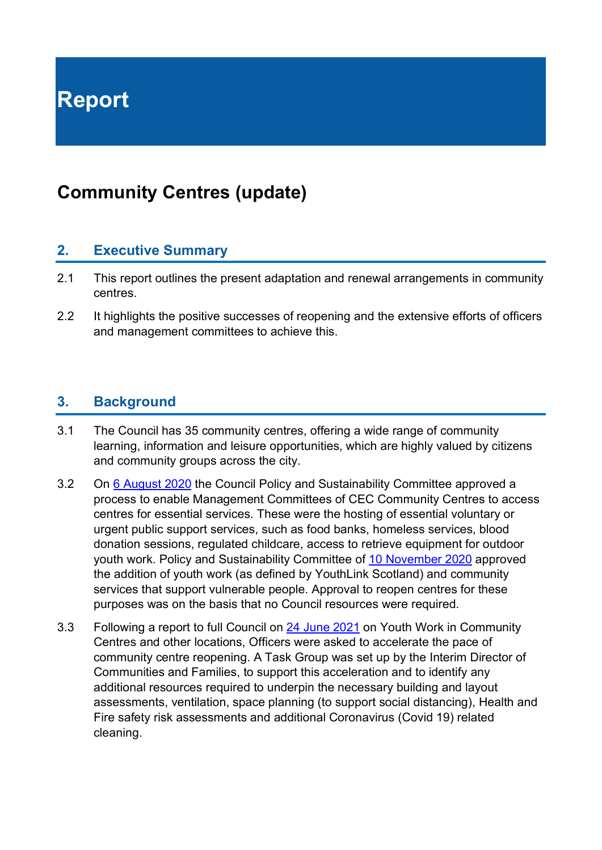**Report**

# **Community Centres (update)**

#### **2. Executive Summary**

- 2.1 This report outlines the present adaptation and renewal arrangements in community centres.
- 2.2 It highlights the positive successes of reopening and the extensive efforts of officers and management committees to achieve this.

#### **3. Background**

- 3.1 The Council has 35 community centres, offering a wide range of community learning, information and leisure opportunities, which are highly valued by citizens and community groups across the city.
- 3.2 On [6 August 2020](https://democracy.edinburgh.gov.uk/ieListDocuments.aspx?CId=135&MId=5517&Ver=4) the Council Policy and Sustainability Committee approved a process to enable Management Committees of CEC Community Centres to access centres for essential services. These were the hosting of essential voluntary or urgent public support services, such as food banks, homeless services, blood donation sessions, regulated childcare, access to retrieve equipment for outdoor youth work. Policy and Sustainability Committee of [10 November 2020](https://democracy.edinburgh.gov.uk/ieListDocuments.aspx?CId=135&MId=5672&Ver=4) approved the addition of youth work (as defined by YouthLink Scotland) and community services that support vulnerable people. Approval to reopen centres for these purposes was on the basis that no Council resources were required.
- 3.3 Following a report to full Council on [24 June 2021](https://democracy.edinburgh.gov.uk/ieListDocuments.aspx?CId=150&MId=5600&Ver=4) on Youth Work in Community Centres and other locations, Officers were asked to accelerate the pace of community centre reopening. A Task Group was set up by the Interim Director of Communities and Families, to support this acceleration and to identify any additional resources required to underpin the necessary building and layout assessments, ventilation, space planning (to support social distancing), Health and Fire safety risk assessments and additional Coronavirus (Covid 19) related cleaning.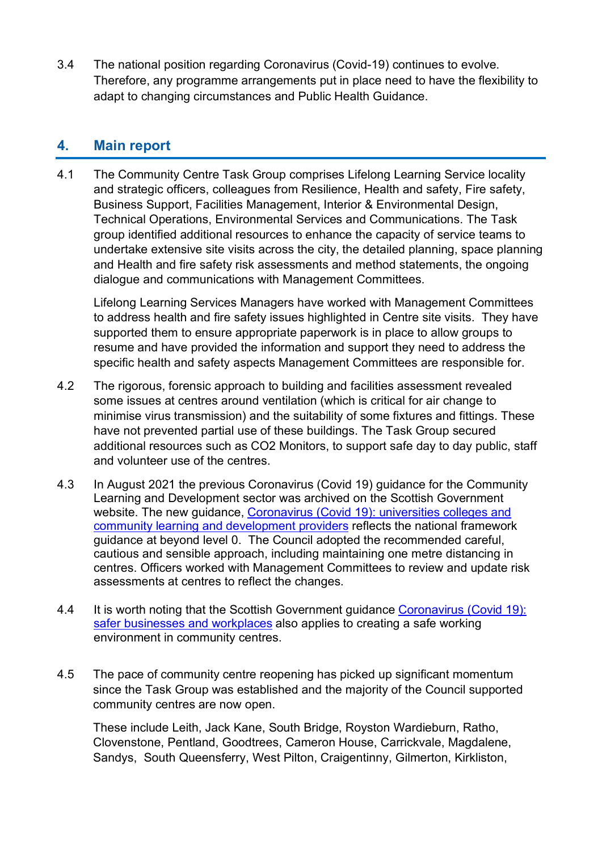3.4 The national position regarding Coronavirus (Covid-19) continues to evolve. Therefore, any programme arrangements put in place need to have the flexibility to adapt to changing circumstances and Public Health Guidance.

#### **4. Main report**

4.1 The Community Centre Task Group comprises Lifelong Learning Service locality and strategic officers, colleagues from Resilience, Health and safety, Fire safety, Business Support, Facilities Management, Interior & Environmental Design, Technical Operations, Environmental Services and Communications. The Task group identified additional resources to enhance the capacity of service teams to undertake extensive site visits across the city, the detailed planning, space planning and Health and fire safety risk assessments and method statements, the ongoing dialogue and communications with Management Committees.

Lifelong Learning Services Managers have worked with Management Committees to address health and fire safety issues highlighted in Centre site visits. They have supported them to ensure appropriate paperwork is in place to allow groups to resume and have provided the information and support they need to address the specific health and safety aspects Management Committees are responsible for.

- 4.2 The rigorous, forensic approach to building and facilities assessment revealed some issues at centres around ventilation (which is critical for air change to minimise virus transmission) and the suitability of some fixtures and fittings. These have not prevented partial use of these buildings. The Task Group secured additional resources such as CO2 Monitors, to support safe day to day public, staff and volunteer use of the centres.
- 4.3 In August 2021 the previous Coronavirus (Covid 19) guidance for the Community Learning and Development sector was archived on the Scottish Government website. The new guidance, [Coronavirus \(Covid 19\): universities colleges and](https://www.gov.scot/publications/coronavirus-covid-19-universities-colleges-and-community-learning-and-development-providers/)  [community learning and development providers](https://www.gov.scot/publications/coronavirus-covid-19-universities-colleges-and-community-learning-and-development-providers/) reflects the national framework guidance at beyond level 0. The Council adopted the recommended careful, cautious and sensible approach, including maintaining one metre distancing in centres. Officers worked with Management Committees to review and update risk assessments at centres to reflect the changes.
- 4.4 It is worth noting that the Scottish Government guidance [Coronavirus \(Covid 19\):](https://www.gov.scot/publications/coronavirus-covid-19-general-guidance-for-safer-workplaces/)  [safer businesses and workplaces](https://www.gov.scot/publications/coronavirus-covid-19-general-guidance-for-safer-workplaces/) also applies to creating a safe working environment in community centres.
- 4.5 The pace of community centre reopening has picked up significant momentum since the Task Group was established and the majority of the Council supported community centres are now open.

These include Leith, Jack Kane, South Bridge, Royston Wardieburn, Ratho, Clovenstone, Pentland, Goodtrees, Cameron House, Carrickvale, Magdalene, Sandys, South Queensferry, West Pilton, Craigentinny, Gilmerton, Kirkliston,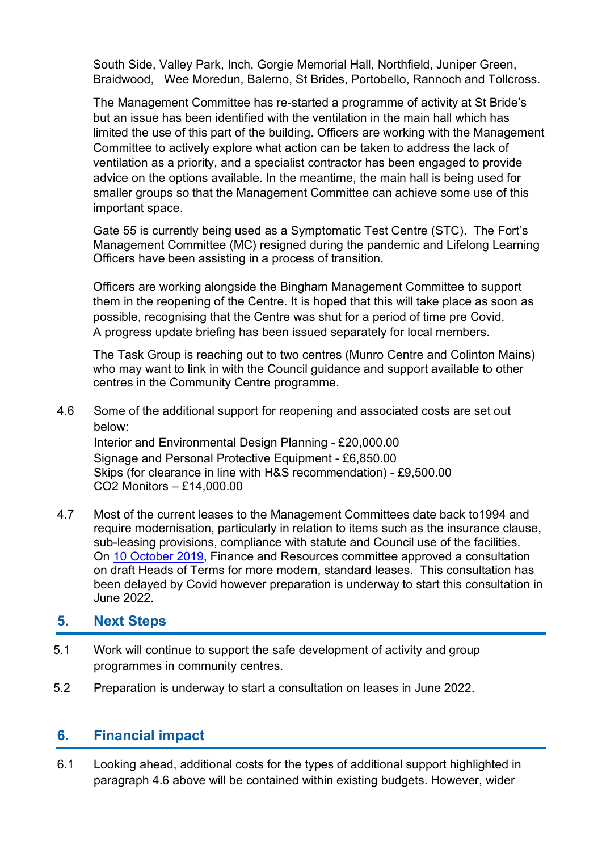South Side, Valley Park, Inch, Gorgie Memorial Hall, Northfield, Juniper Green, Braidwood, Wee Moredun, Balerno, St Brides, Portobello, Rannoch and Tollcross.

The Management Committee has re-started a programme of activity at St Bride's but an issue has been identified with the ventilation in the main hall which has limited the use of this part of the building. Officers are working with the Management Committee to actively explore what action can be taken to address the lack of ventilation as a priority, and a specialist contractor has been engaged to provide advice on the options available. In the meantime, the main hall is being used for smaller groups so that the Management Committee can achieve some use of this important space.

Gate 55 is currently being used as a Symptomatic Test Centre (STC). The Fort's Management Committee (MC) resigned during the pandemic and Lifelong Learning Officers have been assisting in a process of transition.

Officers are working alongside the Bingham Management Committee to support them in the reopening of the Centre. It is hoped that this will take place as soon as possible, recognising that the Centre was shut for a period of time pre Covid. A progress update briefing has been issued separately for local members.

The Task Group is reaching out to two centres (Munro Centre and Colinton Mains) who may want to link in with the Council guidance and support available to other centres in the Community Centre programme.

4.6 Some of the additional support for reopening and associated costs are set out below: Interior and Environmental Design Planning - £20,000.00

Signage and Personal Protective Equipment - £6,850.00 Skips (for clearance in line with H&S recommendation) - £9,500.00 CO2 Monitors – £14,000.00

4.7 Most of the current leases to the Management Committees date back to1994 and require modernisation, particularly in relation to items such as the insurance clause, sub-leasing provisions, compliance with statute and Council use of the facilities. On [10 October 2019,](https://democracy.edinburgh.gov.uk/ieListDocuments.aspx?CId=140&MId=346&Ver=4) Finance and Resources committee approved a consultation on draft Heads of Terms for more modern, standard leases. This consultation has been delayed by Covid however preparation is underway to start this consultation in June 2022.

#### **5. Next Steps**

- 5.1 Work will continue to support the safe development of activity and group programmes in community centres.
- 5.2 Preparation is underway to start a consultation on leases in June 2022.

#### **6. Financial impact**

6.1 Looking ahead, additional costs for the types of additional support highlighted in paragraph 4.6 above will be contained within existing budgets. However, wider